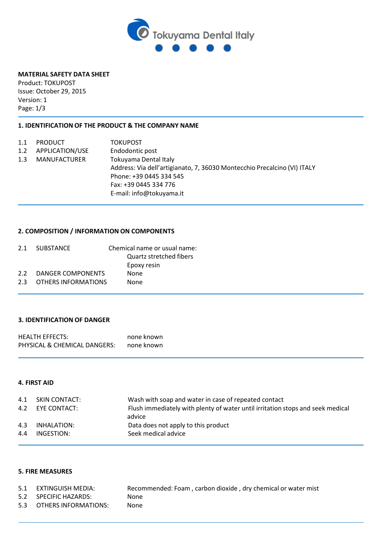

## **MATERIAL SAFETY DATA SHEET**

Product: TOKUPOST Issue: October 29, 2015 Version: 1 Page: 1/3

## **1. IDENTIFICATION OF THE PRODUCT & THE COMPANY NAME**

| 1.1<br>1.2 | <b>PRODUCT</b><br>APPLICATION/USE<br>MANUFACTURER | <b>TOKUPOST</b><br>Endodontic post<br>Tokuyama Dental Italy<br>Address: Via dell'artigianato, 7, 36030 Montecchio Precalcino (VI) ITALY<br>Phone: +39 0445 334 545 |
|------------|---------------------------------------------------|--------------------------------------------------------------------------------------------------------------------------------------------------------------------|
| 1.3        |                                                   |                                                                                                                                                                    |
|            |                                                   |                                                                                                                                                                    |
|            |                                                   |                                                                                                                                                                    |
|            |                                                   | Fax: +39 0445 334 776                                                                                                                                              |
|            |                                                   | E-mail: info@tokuyama.it                                                                                                                                           |

## **2. COMPOSITION / INFORMATION ON COMPONENTS**

|                  | 2.1 SUBSTANCE       | Chemical name or usual name: |
|------------------|---------------------|------------------------------|
|                  |                     | Quartz stretched fibers      |
|                  |                     | Epoxy resin                  |
| 2.2 <sub>1</sub> | DANGER COMPONENTS   | <b>None</b>                  |
| 2.3              | OTHERS INFORMATIONS | None                         |
|                  |                     |                              |

# **3. IDENTIFICATION OF DANGER**

| <b>HEALTH EFFECTS:</b>       | none known |
|------------------------------|------------|
| PHYSICAL & CHEMICAL DANGERS: | none known |

## **4. FIRST AID**

|     | 4.1 SKIN CONTACT: | Wash with soap and water in case of repeated contact                           |
|-----|-------------------|--------------------------------------------------------------------------------|
|     | 4.2 EYE CONTACT:  | Flush immediately with plenty of water until irritation stops and seek medical |
|     |                   | advice                                                                         |
|     | 4.3 INHALATION:   | Data does not apply to this product                                            |
| 4.4 | INGESTION:        | Seek medical advice                                                            |
|     |                   |                                                                                |

### **5. FIRE MEASURES**

| 5.1 EXTINGUISH MEDIA:    | Recommended: Foam, carbon dioxide, dry chemical or water mist |
|--------------------------|---------------------------------------------------------------|
| 5.2 SPECIFIC HAZARDS:    | None                                                          |
| 5.3 OTHERS INFORMATIONS: | None                                                          |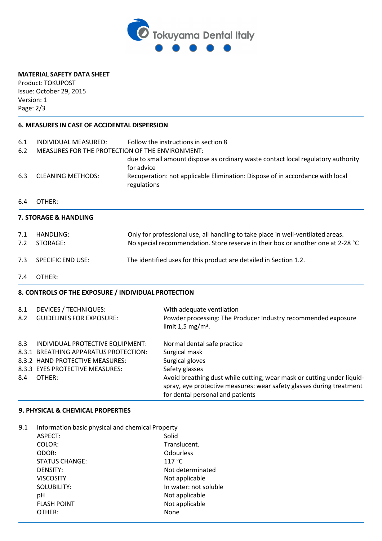

# **MATERIAL SAFETY DATA SHEET**

Product: TOKUPOST Issue: October 29, 2015 Version: 1 Page: 2/3

## **6. MEASURES IN CASE OF ACCIDENTAL DISPERSION**

| Follow the instructions in section 8<br>MEASURES FOR THE PROTECTION OF THE ENVIRONMENT: |  |
|-----------------------------------------------------------------------------------------|--|
| due to small amount dispose as ordinary waste contact local regulatory authority        |  |
| Recuperation: not applicable Elimination: Dispose of in accordance with local           |  |
|                                                                                         |  |
|                                                                                         |  |
| Only for professional use, all handling to take place in well-ventilated areas.         |  |
| No special recommendation. Store reserve in their box or another one at 2-28 °C         |  |
| The identified uses for this product are detailed in Section 1.2.                       |  |
|                                                                                         |  |
|                                                                                         |  |
|                                                                                         |  |
| Powder processing: The Producer Industry recommended exposure                           |  |
|                                                                                         |  |
|                                                                                         |  |
|                                                                                         |  |
| Avoid breathing dust while cutting; wear mask or cutting under liquid-                  |  |
| spray, eye protective measures: wear safety glasses during treatment                    |  |
|                                                                                         |  |

### **9. PHYSICAL & CHEMICAL PROPERTIES**

| 9.1 | Information basic physical and chemical Property |                       |  |
|-----|--------------------------------------------------|-----------------------|--|
|     | ASPECT:                                          | Solid                 |  |
|     | COLOR:                                           | Translucent.          |  |
|     | ODOR:                                            | <b>Odourless</b>      |  |
|     | <b>STATUS CHANGE:</b>                            | 117 °C                |  |
|     | <b>DENSITY:</b>                                  | Not determinated      |  |
|     | <b>VISCOSITY</b>                                 | Not applicable        |  |
|     | SOLUBILITY:                                      | In water: not soluble |  |
|     | рH                                               | Not applicable        |  |
|     | <b>FLASH POINT</b>                               | Not applicable        |  |
|     | OTHER:                                           | None                  |  |